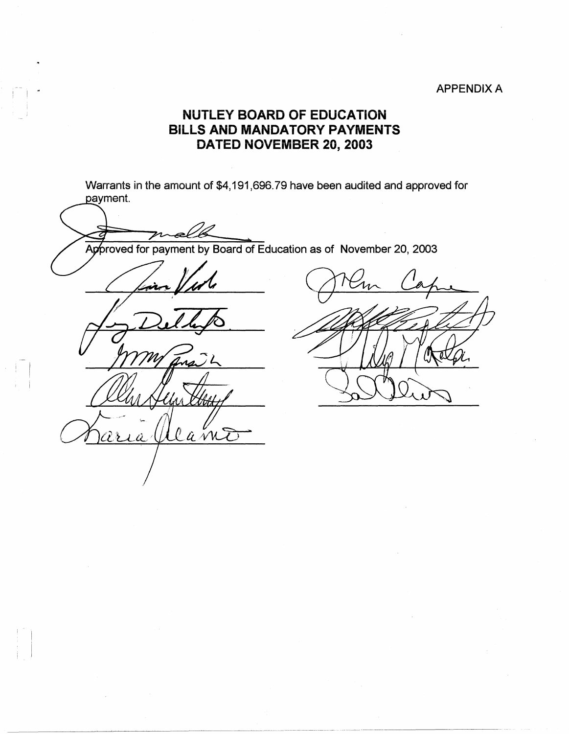## APPENDIX A

## **NUTLEY BOARD OF EDUCATION BILLS AND MANDATORY PAYMENTS DATED NOVEMBER 20, 2003**

Warrants in the amount of \$4,191,696.79 have been audited and approved for payment.

Approved for payment by Board of Education as of November 20, 2003

--  $\mathbb{I}$ 

 $\mathbb{R}^{\mathbb{N}}$ 

llamE aria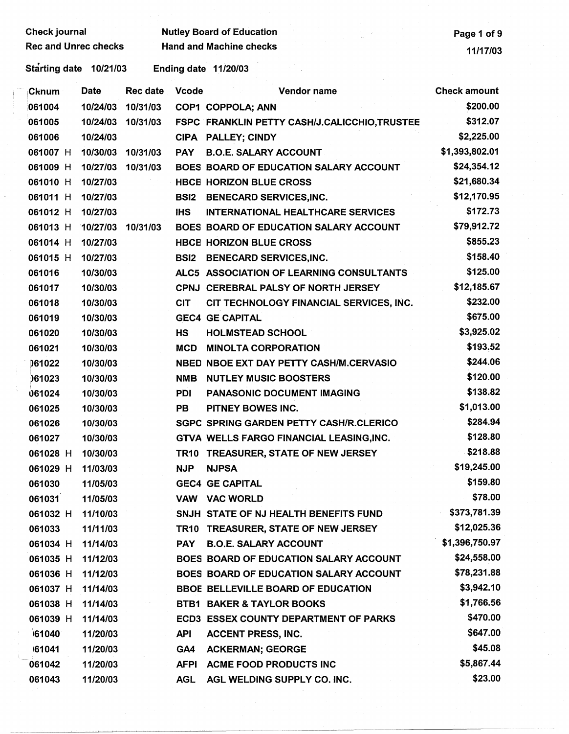Check journal Rec and Unrec checks Nutley Board of Education Hand and Machine checks

Starting date 10/21/03 Ending date 11/20/03

| ∣Cknum   | <b>Date</b> | Rec date | <b>Vcode</b> | Vendor name                                         | <b>Check amount</b> |
|----------|-------------|----------|--------------|-----------------------------------------------------|---------------------|
| 061004   | 10/24/03    | 10/31/03 |              | COP1 COPPOLA; ANN                                   | \$200.00            |
| 061005   | 10/24/03    | 10/31/03 |              | <b>FSPC FRANKLIN PETTY CASH/J.CALICCHIO,TRUSTEE</b> | \$312.07            |
| 061006   | 10/24/03    |          |              | CIPA PALLEY; CINDY                                  | \$2,225.00          |
| 061007 H | 10/30/03    | 10/31/03 | <b>PAY</b>   | <b>B.O.E. SALARY ACCOUNT</b>                        | \$1,393,802.01      |
| 061009 H | 10/27/03    | 10/31/03 |              | BOES BOARD OF EDUCATION SALARY ACCOUNT              | \$24,354.12         |
| 061010 H | 10/27/03    |          |              | <b>HBCE HORIZON BLUE CROSS</b>                      | \$21,680.34         |
| 061011 H | 10/27/03    |          | <b>BSI2</b>  | <b>BENECARD SERVICES, INC.</b>                      | \$12,170.95         |
| 061012 H | 10/27/03    |          | <b>IHS</b>   | <b>INTERNATIONAL HEALTHCARE SERVICES</b>            | \$172.73            |
| 061013 H | 10/27/03    | 10/31/03 |              | <b>BOES BOARD OF EDUCATION SALARY ACCOUNT</b>       | \$79,912.72         |
| 061014 H | 10/27/03    |          |              | <b>HBCE HORIZON BLUE CROSS</b>                      | \$855.23            |
| 061015 H | 10/27/03    |          | <b>BSI2</b>  | <b>BENECARD SERVICES, INC.</b>                      | \$158.40            |
| 061016   | 10/30/03    |          |              | ALC5 ASSOCIATION OF LEARNING CONSULTANTS            | \$125.00            |
| 061017   | 10/30/03    |          |              | CPNJ CEREBRAL PALSY OF NORTH JERSEY                 | \$12,185.67         |
| 061018   | 10/30/03    |          | <b>CIT</b>   | CIT TECHNOLOGY FINANCIAL SERVICES, INC.             | \$232.00            |
| 061019   | 10/30/03    |          |              | <b>GEC4 GE CAPITAL</b>                              | \$675.00            |
| 061020   | 10/30/03    |          | HS           | <b>HOLMSTEAD SCHOOL</b>                             | \$3,925.02          |
| 061021   | 10/30/03    |          | <b>MCD</b>   | <b>MINOLTA CORPORATION</b>                          | \$193.52            |
| 061022   | 10/30/03    |          |              | NBED NBOE EXT DAY PETTY CASH/M.CERVASIO             | \$244.06            |
| 061023   | 10/30/03    |          | <b>NMB</b>   | <b>NUTLEY MUSIC BOOSTERS</b>                        | \$120.00            |
| 061024   | 10/30/03    |          | <b>PDI</b>   | PANASONIC DOCUMENT IMAGING                          | \$138.82            |
| 061025   | 10/30/03    |          | <b>PB</b>    | PITNEY BOWES INC.                                   | \$1,013.00          |
| 061026   | 10/30/03    |          |              | SGPC SPRING GARDEN PETTY CASH/R.CLERICO             | \$284.94            |
| 061027   | 10/30/03    |          |              | GTVA WELLS FARGO FINANCIAL LEASING, INC.            | \$128.80            |
| 061028 H | 10/30/03    |          |              | TR10 TREASURER, STATE OF NEW JERSEY                 | \$218.88            |
| 061029 H | 11/03/03    |          | <b>NJP</b>   | <b>NJPSA</b>                                        | \$19,245.00         |
| 061030   | 11/05/03    |          |              | <b>GEC4 GE CAPITAL</b>                              | \$159.80            |
| 061031   | 11/05/03    |          | VAW          | <b>VAC WORLD</b>                                    | \$78.00             |
| 061032 H | 11/10/03    |          |              | SNJH STATE OF NJ HEALTH BENEFITS FUND               | \$373,781.39        |
| 061033   | 11/11/03    |          |              | TR10 TREASURER, STATE OF NEW JERSEY                 | \$12,025.36         |
| 061034 H | 11/14/03    |          | <b>PAY</b>   | <b>B.O.E. SALARY ACCOUNT</b>                        | \$1,396,750.97      |
| 061035 H | 11/12/03    |          |              | <b>BOES BOARD OF EDUCATION SALARY ACCOUNT</b>       | \$24,558.00         |
| 061036 H | 11/12/03    |          |              | BOES BOARD OF EDUCATION SALARY ACCOUNT              | \$78,231.88         |
| 061037 H | 11/14/03    |          |              | <b>BBOE BELLEVILLE BOARD OF EDUCATION</b>           | \$3,942.10          |
| 061038 H | 11/14/03    |          |              | <b>BTB1 BAKER &amp; TAYLOR BOOKS</b>                | \$1,766.56          |
| 061039 H | 11/14/03    |          |              | <b>ECD3 ESSEX COUNTY DEPARTMENT OF PARKS</b>        | \$470.00            |
| 61040    | 11/20/03    |          | <b>API</b>   | <b>ACCENT PRESS, INC.</b>                           | \$647.00            |
| 61041    | 11/20/03    |          | GA4          | <b>ACKERMAN; GEORGE</b>                             | \$45.08             |
| 061042   | 11/20/03    |          | <b>AFPI</b>  | <b>ACME FOOD PRODUCTS INC</b>                       | \$5,867.44          |
| 061043   | 11/20/03    |          | <b>AGL</b>   | AGL WELDING SUPPLY CO. INC.                         | \$23.00             |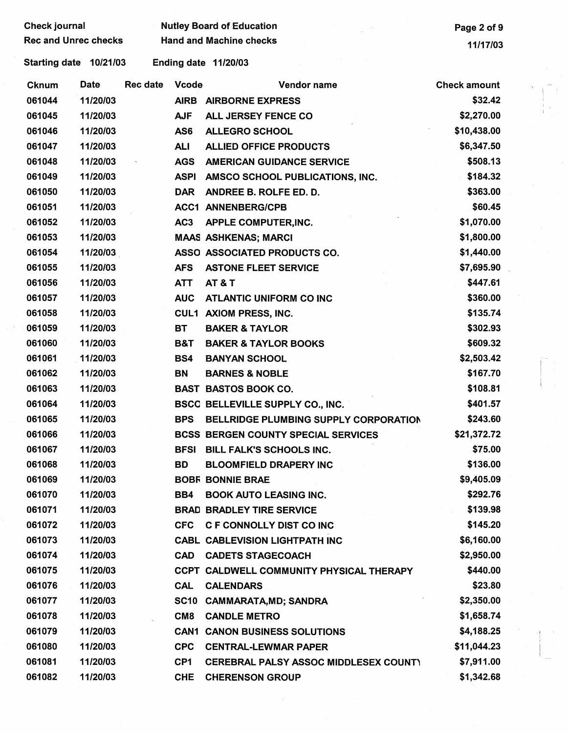| <b>Check journal</b>        |                        |                 |                 | <b>Nutley Board of Education</b>           | Page 2 of 9         |  |  |
|-----------------------------|------------------------|-----------------|-----------------|--------------------------------------------|---------------------|--|--|
| <b>Rec and Unrec checks</b> |                        |                 |                 | <b>Hand and Machine checks</b>             | 11/17/03            |  |  |
|                             | Starting date 10/21/03 |                 |                 | Ending date 11/20/03                       |                     |  |  |
| <b>Cknum</b>                | Date                   | <b>Rec date</b> | <b>Vcode</b>    | Vendor name                                | <b>Check amount</b> |  |  |
| 061044                      | 11/20/03               |                 |                 | AIRB AIRBORNE EXPRESS                      | \$32.42             |  |  |
| 061045                      | 11/20/03               |                 | <b>AJF</b>      | ALL JERSEY FENCE CO                        | \$2,270.00          |  |  |
| 061046                      | 11/20/03               |                 | AS6             | <b>ALLEGRO SCHOOL</b>                      | \$10,438.00         |  |  |
| 061047                      | 11/20/03               |                 | <b>ALI</b>      | <b>ALLIED OFFICE PRODUCTS</b>              | \$6,347.50          |  |  |
| 061048                      | 11/20/03               |                 | <b>AGS</b>      | <b>AMERICAN GUIDANCE SERVICE</b>           | \$508.13            |  |  |
| 061049                      | 11/20/03               |                 | <b>ASPI</b>     | AMSCO SCHOOL PUBLICATIONS, INC.            | \$184.32            |  |  |
| 061050                      | 11/20/03               |                 | <b>DAR</b>      | ANDREE B. ROLFE ED. D.                     | \$363.00            |  |  |
| 061051                      | 11/20/03               |                 |                 | <b>ACC1 ANNENBERG/CPB</b>                  | \$60.45             |  |  |
| 061052                      | 11/20/03               |                 | AC <sub>3</sub> | APPLE COMPUTER, INC.                       | \$1,070.00          |  |  |
| 061053                      | 11/20/03               |                 |                 | <b>MAAS ASHKENAS; MARCI</b>                | \$1,800.00          |  |  |
| 061054                      | 11/20/03               |                 |                 | ASSO ASSOCIATED PRODUCTS CO.               | \$1,440.00          |  |  |
| 061055                      | 11/20/03               |                 | <b>AFS</b>      | <b>ASTONE FLEET SERVICE</b>                | \$7,695.90          |  |  |
| 061056                      | 11/20/03               |                 | <b>ATT</b>      | <b>AT &amp; T</b>                          | \$447.61            |  |  |
| 061057                      | 11/20/03               |                 | <b>AUC</b>      | <b>ATLANTIC UNIFORM CO INC</b>             | \$360.00            |  |  |
| 061058                      | 11/20/03               |                 |                 | <b>CUL1 AXIOM PRESS, INC.</b>              | \$135.74            |  |  |
| 061059                      | 11/20/03               |                 | <b>BT</b>       | <b>BAKER &amp; TAYLOR</b>                  | \$302.93            |  |  |
| 061060                      | 11/20/03               |                 | <b>B&amp;T</b>  | <b>BAKER &amp; TAYLOR BOOKS</b>            | \$609.32            |  |  |
| 061061                      | 11/20/03               |                 | BS4             | <b>BANYAN SCHOOL</b>                       | \$2,503.42          |  |  |
| 061062                      | 11/20/03               |                 | <b>BN</b>       | <b>BARNES &amp; NOBLE</b>                  | \$167.70            |  |  |
| 061063                      | 11/20/03               |                 |                 | <b>BAST BASTOS BOOK CO.</b>                | \$108.81            |  |  |
| 061064                      | 11/20/03               |                 |                 | BSCC BELLEVILLE SUPPLY CO., INC.           | \$401.57            |  |  |
| 061065                      | 11/20/03               |                 | <b>BPS</b>      | BELLRIDGE PLUMBING SUPPLY CORPORATION      | \$243.60            |  |  |
| 061066                      | 11/20/03               |                 |                 | <b>BCSS BERGEN COUNTY SPECIAL SERVICES</b> | \$21,372.72         |  |  |
| 061067                      | 11/20/03               |                 |                 | BFSI BILL FALK'S SCHOOLS INC.              | \$75.00             |  |  |
| 061068                      | 11/20/03               |                 | <b>BD</b>       | <b>BLOOMFIELD DRAPERY INC</b>              | \$136.00            |  |  |
| 061069                      | 11/20/03               |                 |                 | <b>BOBF BONNIE BRAE</b>                    | \$9,405.09          |  |  |
| 061070                      | 11/20/03               |                 |                 | <b>BB4 BOOK AUTO LEASING INC.</b>          | \$292.76            |  |  |
| 061071                      | 11/20/03               |                 |                 | <b>BRAD BRADLEY TIRE SERVICE</b>           | \$139.98            |  |  |
| 061072                      | 11/20/03               |                 |                 | CFC C F CONNOLLY DIST CO INC               | \$145.20            |  |  |
| 061073                      | 11/20/03               |                 |                 | <b>CABL CABLEVISION LIGHTPATH INC</b>      | \$6,160.00          |  |  |
| 061074                      | 11/20/03               |                 |                 | CAD CADETS STAGECOACH                      | \$2,950.00          |  |  |
| 061075                      | 11/20/03               |                 |                 | CCPT CALDWELL COMMUNITY PHYSICAL THERAPY   | \$440.00            |  |  |
| 061076                      | 11/20/03               |                 | CAL             | <b>CALENDARS</b>                           | \$23.80             |  |  |
| 061077                      | 11/20/03               |                 |                 | SC10 CAMMARATA, MD; SANDRA                 | \$2,350.00          |  |  |
| 061078                      | 11/20/03               |                 | CM8             | <b>CANDLE METRO</b>                        | \$1,658.74          |  |  |
| 061079                      | 11/20/03               |                 |                 | <b>CAN1 CANON BUSINESS SOLUTIONS</b>       | \$4,188.25          |  |  |
| 061080                      | 11/20/03               |                 |                 | CPC CENTRAL-LEWMAR PAPER                   | \$11,044.23         |  |  |
| 061081                      | 11/20/03               |                 | CP1             | CEREBRAL PALSY ASSOC MIDDLESEX COUNTY      | \$7,911.00          |  |  |
| 061082                      | 11/20/03               |                 | <b>CHE</b>      | <b>CHERENSON GROUP</b>                     | \$1,342.68          |  |  |

 $\frac{1}{2}$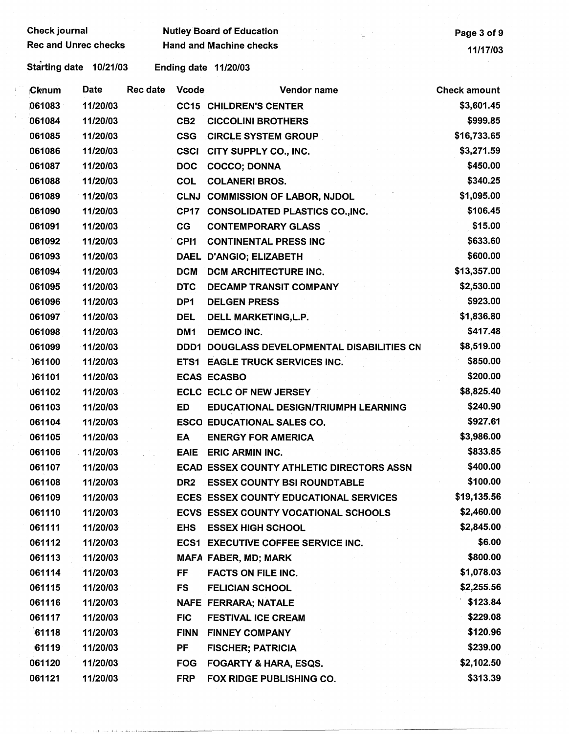| Check journal               |          |                 |                  | <b>Nutley Board of Education</b>              | Page 3 of 9         |
|-----------------------------|----------|-----------------|------------------|-----------------------------------------------|---------------------|
| <b>Rec and Unrec checks</b> |          |                 |                  | <b>Hand and Machine checks</b>                | 11/17/03            |
| Starting date 10/21/03      |          |                 |                  | Ending date 11/20/03                          |                     |
| Cknum                       | Date     | <b>Rec date</b> | <b>Vcode</b>     | Vendor name                                   | <b>Check amount</b> |
| 061083                      | 11/20/03 |                 |                  | <b>CC15 CHILDREN'S CENTER</b>                 | \$3,601.45          |
| 061084                      | 11/20/03 |                 | CB <sub>2</sub>  | <b>CICCOLINI BROTHERS</b>                     | \$999.85            |
| 061085                      | 11/20/03 |                 | <b>CSG</b>       | <b>CIRCLE SYSTEM GROUP</b>                    | \$16,733.65         |
| 061086                      | 11/20/03 |                 | <b>CSCI</b>      | CITY SUPPLY CO., INC.                         | \$3,271.59          |
| 061087                      | 11/20/03 |                 | <b>DOC</b>       | <b>COCCO; DONNA</b>                           | \$450.00            |
| 061088                      | 11/20/03 |                 | <b>COL</b>       | <b>COLANERI BROS.</b>                         | \$340.25            |
| 061089                      | 11/20/03 |                 | <b>CLNJ</b>      | <b>COMMISSION OF LABOR, NJDOL</b>             | \$1,095.00          |
| 061090                      | 11/20/03 |                 | <b>CP17</b>      | <b>CONSOLIDATED PLASTICS CO., INC.</b>        | \$106.45            |
| 061091                      | 11/20/03 |                 | CG               | <b>CONTEMPORARY GLASS</b>                     | \$15.00             |
| 061092                      | 11/20/03 |                 | CP <sub>11</sub> | <b>CONTINENTAL PRESS INC</b>                  | \$633.60            |
| 061093                      | 11/20/03 |                 |                  | DAEL D'ANGIO; ELIZABETH                       | \$600.00            |
| 061094                      | 11/20/03 |                 | <b>DCM</b>       | DCM ARCHITECTURE INC.                         | \$13,357.00         |
| 061095                      | 11/20/03 |                 | <b>DTC</b>       | <b>DECAMP TRANSIT COMPANY</b>                 | \$2,530.00          |
| 061096                      | 11/20/03 |                 | DP1              | <b>DELGEN PRESS</b>                           | \$923.00            |
| 061097                      | 11/20/03 |                 | <b>DEL</b>       | DELL MARKETING, L.P.                          | \$1,836.80          |
| 061098                      | 11/20/03 |                 | DM <sub>1</sub>  | <b>DEMCO INC.</b>                             | \$417.48            |
| 061099                      | 11/20/03 |                 |                  | DDD1 DOUGLASS DEVELOPMENTAL DISABILITIES CN   | \$8,519.00          |
| 161100                      | 11/20/03 |                 |                  | ETS1 EAGLE TRUCK SERVICES INC.                | \$850.00            |
| 061101                      | 11/20/03 |                 |                  | <b>ECAS ECASBO</b>                            | \$200.00            |
| 061102                      | 11/20/03 |                 |                  | <b>ECLC ECLC OF NEW JERSEY</b>                | \$8,825.40          |
| 061103                      | 11/20/03 |                 | ED               | <b>EDUCATIONAL DESIGN/TRIUMPH LEARNING</b>    | \$240.90            |
| 061104                      | 11/20/03 |                 |                  | <b>ESCO EDUCATIONAL SALES CO.</b>             | \$927.61            |
| 061105                      | 11/20/03 |                 | EA               | <b>ENERGY FOR AMERICA</b>                     | \$3,986.00          |
| 061106                      | 11/20/03 |                 | <b>EAIE</b>      | <b>ERIC ARMIN INC.</b>                        | \$833.85            |
| 061107                      | 11/20/03 |                 |                  | ECAD ESSEX COUNTY ATHLETIC DIRECTORS ASSN     | \$400.00            |
| 061108                      | 11/20/03 |                 | DR2              | <b>ESSEX COUNTY BSI ROUNDTABLE</b>            | \$100.00            |
| 061109                      | 11/20/03 |                 |                  | <b>ECES ESSEX COUNTY EDUCATIONAL SERVICES</b> | \$19,135.56         |
| 061110                      | 11/20/03 |                 |                  | <b>ECVS ESSEX COUNTY VOCATIONAL SCHOOLS</b>   | \$2,460.00          |
| 061111                      | 11/20/03 |                 | <b>EHS</b>       | <b>ESSEX HIGH SCHOOL</b>                      | \$2,845.00          |
| 061112                      | 11/20/03 |                 |                  | <b>ECS1 EXECUTIVE COFFEE SERVICE INC.</b>     | \$6.00              |
| 061113                      | 11/20/03 |                 |                  | <b>MAFA FABER, MD; MARK</b>                   | \$800.00            |
| 061114                      | 11/20/03 |                 | FF               | <b>FACTS ON FILE INC.</b>                     | \$1,078.03          |
| 061115                      | 11/20/03 |                 | FS               | <b>FELICIAN SCHOOL</b>                        | \$2,255.56          |
| 061116                      | 11/20/03 |                 |                  | <b>NAFE FERRARA; NATALE</b>                   | \$123.84            |
| 061117                      | 11/20/03 |                 | <b>FIC</b>       | <b>FESTIVAL ICE CREAM</b>                     | \$229.08            |
| 61118                       | 11/20/03 |                 | <b>FINN</b>      | <b>FINNEY COMPANY</b>                         | \$120.96            |
| 61119                       | 11/20/03 |                 | PF               | <b>FISCHER; PATRICIA</b>                      | \$239.00            |
| 061120                      | 11/20/03 |                 | <b>FOG</b>       | <b>FOGARTY &amp; HARA, ESQS.</b>              | \$2,102.50          |
| 061121                      | 11/20/03 |                 | <b>FRP</b>       | FOX RIDGE PUBLISHING CO.                      | \$313.39            |

 $\frac{1}{2}$ 

 $\frac{1}{2}$ 

i<br>Ma

 $\left(\begin{array}{c} 1 \\ 1 \end{array}\right)$ 

 $\frac{1}{2}$  .

i<br>San

 $\sim$   $t$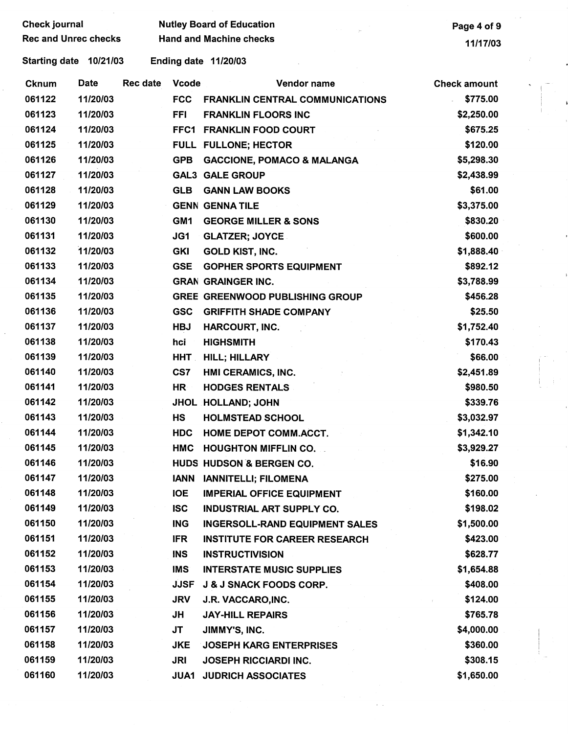|              | <b>Check journal</b> |                             |                 |                 | <b>Nutley Board of Education</b>       | Page 4 of 9         |
|--------------|----------------------|-----------------------------|-----------------|-----------------|----------------------------------------|---------------------|
|              |                      | <b>Rec and Unrec checks</b> |                 |                 | <b>Hand and Machine checks</b>         | 11/17/03            |
|              |                      | Starting date 10/21/03      |                 |                 | Ending date 11/20/03                   |                     |
| <b>Cknum</b> |                      | Date                        | <b>Rec date</b> | <b>Vcode</b>    | Vendor name                            | <b>Check amount</b> |
| 061122       |                      | 11/20/03                    |                 | <b>FCC</b>      | <b>FRANKLIN CENTRAL COMMUNICATIONS</b> | \$775.00            |
| 061123       |                      | 11/20/03                    |                 | <b>FFI</b>      | <b>FRANKLIN FLOORS INC</b>             | \$2,250.00          |
| 061124       |                      | 11/20/03                    |                 |                 | FFC1 FRANKLIN FOOD COURT               | \$675.25            |
| 061125       |                      | 11/20/03                    |                 |                 | FULL FULLONE; HECTOR                   | \$120.00            |
| 061126       |                      | 11/20/03                    |                 | <b>GPB</b>      | <b>GACCIONE, POMACO &amp; MALANGA</b>  | \$5,298.30          |
| 061127       |                      | 11/20/03                    |                 |                 | <b>GAL3 GALE GROUP</b>                 | \$2,438.99          |
| 061128       |                      | 11/20/03                    |                 | <b>GLB</b>      | <b>GANN LAW BOOKS</b>                  | \$61.00             |
| 061129       |                      | 11/20/03                    |                 |                 | <b>GENN GENNATILE</b>                  | \$3,375.00          |
| 061130       |                      | 11/20/03                    |                 | GM <sub>1</sub> | <b>GEORGE MILLER &amp; SONS</b>        | \$830.20            |
| 061131       |                      | 11/20/03                    |                 | JG1             | <b>GLATZER; JOYCE</b>                  | \$600.00            |
| 061132       |                      | 11/20/03                    |                 | <b>GKI</b>      | <b>GOLD KIST, INC.</b>                 | \$1,888.40          |
| 061133       |                      | 11/20/03                    |                 | <b>GSE</b>      | <b>GOPHER SPORTS EQUIPMENT</b>         | \$892.12            |
| 061134       |                      | 11/20/03                    |                 |                 | <b>GRAN GRAINGER INC.</b>              | \$3,788.99          |
| 061135       |                      | 11/20/03                    |                 |                 | <b>GREE GREENWOOD PUBLISHING GROUP</b> | \$456.28            |
| 061136       |                      | 11/20/03                    |                 | <b>GSC</b>      | <b>GRIFFITH SHADE COMPANY</b>          | \$25.50             |
| 061137       |                      | 11/20/03                    |                 | <b>HBJ</b>      | HARCOURT, INC.                         | \$1,752.40          |
| 061138       |                      | 11/20/03                    |                 | hci             | <b>HIGHSMITH</b>                       | \$170.43            |
| 061139       |                      | 11/20/03                    |                 | <b>HHT</b>      | <b>HILL; HILLARY</b>                   | \$66.00             |
| 061140       |                      | 11/20/03                    |                 | CS7             | HMI CERAMICS, INC.                     | \$2,451.89          |
| 061141       |                      | 11/20/03                    |                 | HR              | <b>HODGES RENTALS</b>                  | \$980.50            |
| 061142       |                      | 11/20/03                    |                 |                 | JHOL HOLLAND; JOHN                     | \$339.76            |
| 061143       |                      | 11/20/03                    |                 | <b>HS</b>       | <b>HOLMSTEAD SCHOOL</b>                | \$3,032.97          |
| 061144       |                      | 11/20/03                    |                 | <b>HDC</b>      | HOME DEPOT COMM.ACCT.                  | \$1,342.10          |
| 061145       |                      | 11/20/03                    |                 | <b>HMC</b>      | <b>HOUGHTON MIFFLIN CO.</b>            | \$3,929.27          |
| 061146       |                      | 11/20/03                    |                 |                 | HUDS HUDSON & BERGEN CO.               | \$16.90             |
| 061147       |                      | 11/20/03                    |                 | <b>IANN</b>     | <b>IANNITELLI: FILOMENA</b>            | \$275.00            |
| 061148       |                      | 11/20/03                    |                 | <b>IOE</b>      | <b>IMPERIAL OFFICE EQUIPMENT</b>       | \$160.00            |
| 061149       |                      | 11/20/03                    |                 | <b>ISC</b>      | <b>INDUSTRIAL ART SUPPLY CO.</b>       | \$198.02            |
| 061150       |                      | 11/20/03                    |                 | <b>ING</b>      | <b>INGERSOLL-RAND EQUIPMENT SALES</b>  | \$1,500.00          |
| 061151       |                      | 11/20/03                    |                 | <b>IFR</b>      | <b>INSTITUTE FOR CAREER RESEARCH</b>   | \$423.00            |
| 061152       |                      | 11/20/03                    |                 | <b>INS</b>      | <b>INSTRUCTIVISION</b>                 | \$628.77            |
| 061153       |                      | 11/20/03                    |                 | <b>IMS</b>      | <b>INTERSTATE MUSIC SUPPLIES</b>       | \$1,654.88          |
| 061154       |                      | 11/20/03                    |                 | <b>JJSF</b>     | <b>J &amp; J SNACK FOODS CORP.</b>     | \$408.00            |
| 061155       |                      | 11/20/03                    |                 | <b>JRV</b>      | J.R. VACCARO, INC.                     | \$124.00            |
| 061156       |                      | 11/20/03                    |                 | JH              | <b>JAY-HILL REPAIRS</b>                | \$765.78            |
| 061157       |                      | 11/20/03                    |                 | JT              | JIMMY'S, INC.                          | \$4,000.00          |
| 061158       |                      | 11/20/03                    |                 | <b>JKE</b>      | <b>JOSEPH KARG ENTERPRISES</b>         | \$360.00            |
| 061159       |                      | 11/20/03                    |                 | <b>JRI</b>      | <b>JOSEPH RICCIARDI INC.</b>           | \$308.15            |
| 061160       |                      | 11/20/03                    |                 | <b>JUA1</b>     | <b>JUDRICH ASSOCIATES</b>              | \$1,650.00          |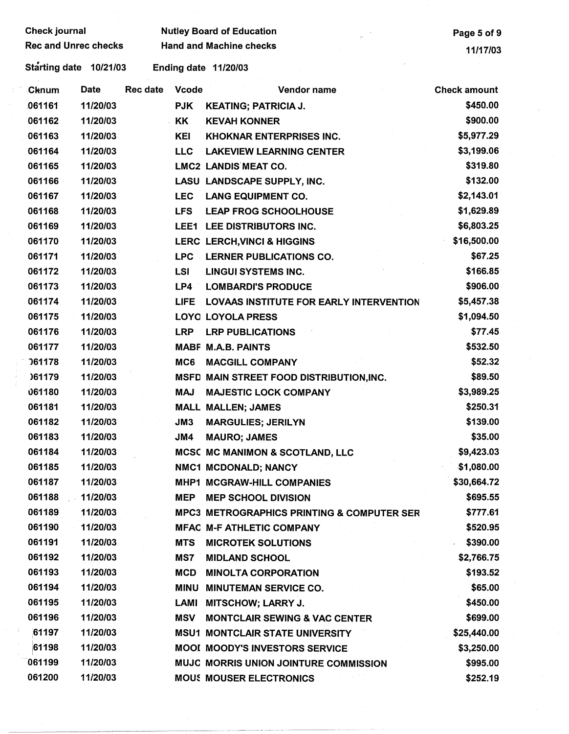| <b>Check journal</b>        |             |                 | <b>Nutley Board of Education</b> | Page 5 of 9                                |                     |
|-----------------------------|-------------|-----------------|----------------------------------|--------------------------------------------|---------------------|
| <b>Rec and Unrec checks</b> |             |                 | <b>Hand and Machine checks</b>   | 11/17/03                                   |                     |
| Starting date 10/21/03      |             |                 |                                  | Ending date 11/20/03                       |                     |
| Cknum                       | <b>Date</b> | <b>Rec date</b> | <b>Vcode</b>                     | Vendor name                                | <b>Check amount</b> |
| 061161                      | 11/20/03    |                 | <b>PJK</b>                       | <b>KEATING; PATRICIA J.</b>                | \$450.00            |
| 061162                      | 11/20/03    |                 | KK                               | <b>KEVAH KONNER</b>                        | \$900.00            |
| 061163                      | 11/20/03    |                 | <b>KEI</b>                       | <b>KHOKNAR ENTERPRISES INC.</b>            | \$5,977.29          |
| 061164                      | 11/20/03    |                 | <b>LLC</b>                       | <b>LAKEVIEW LEARNING CENTER</b>            | \$3,199.06          |
| 061165                      | 11/20/03    |                 |                                  | <b>LMC2 LANDIS MEAT CO.</b>                | \$319.80            |
| 061166                      | 11/20/03    |                 |                                  | LASU LANDSCAPE SUPPLY, INC.                | \$132.00            |
| 061167                      | 11/20/03    |                 | <b>LEC</b>                       | <b>LANG EQUIPMENT CO.</b>                  | \$2,143.01          |
| 061168                      | 11/20/03    |                 | <b>LFS</b>                       | <b>LEAP FROG SCHOOLHOUSE</b>               | \$1,629.89          |
| 061169                      | 11/20/03    |                 |                                  | LEE1 LEE DISTRIBUTORS INC.                 | \$6,803.25          |
| 061170                      | 11/20/03    |                 |                                  | <b>LERC LERCH, VINCI &amp; HIGGINS</b>     | \$16,500.00         |
| 061171                      | 11/20/03    |                 |                                  | LPC LERNER PUBLICATIONS CO.                | \$67.25             |
| 061172                      | 11/20/03    |                 | <b>LSI</b>                       | <b>LINGUI SYSTEMS INC.</b>                 | \$166.85            |
| 061173                      | 11/20/03    |                 | LP4                              | <b>LOMBARDI'S PRODUCE</b>                  | \$906.00            |
| 061174                      | 11/20/03    |                 | <b>LIFE</b>                      | LOVAAS INSTITUTE FOR EARLY INTERVENTION    | \$5,457.38          |
| 061175                      | 11/20/03    |                 |                                  | <b>LOYO LOYOLA PRESS</b>                   | \$1,094.50          |
| 061176                      | 11/20/03    |                 | <b>LRP</b>                       | <b>LRP PUBLICATIONS</b>                    | \$77.45             |
| 061177                      | 11/20/03    |                 |                                  | <b>MABF M.A.B. PAINTS</b>                  | \$532.50            |
| <b>061178</b>               | 11/20/03    |                 | MC6                              | <b>MACGILL COMPANY</b>                     | \$52.32             |
| )61179                      | 11/20/03    |                 |                                  | MSFD MAIN STREET FOOD DISTRIBUTION, INC.   | \$89.50             |
| 061180                      | 11/20/03    |                 | <b>MAJ</b>                       | <b>MAJESTIC LOCK COMPANY</b>               | \$3,989.25          |
| 061181                      | 11/20/03    |                 |                                  | <b>MALL MALLEN; JAMES</b>                  | \$250.31            |
| 061182                      | 11/20/03    |                 | JM3                              | <b>MARGULIES; JERILYN</b>                  | \$139.00            |
| 061183                      | 11/20/03    |                 | JM4                              | <b>MAURO; JAMES</b>                        | \$35.00             |
| 061184                      | 11/20/03    |                 |                                  | MCSC MC MANIMON & SCOTLAND, LLC            | \$9,423.03          |
| 061185                      | 11/20/03    |                 |                                  | NMC1 MCDONALD; NANCY                       | \$1,080.00          |
| 061187                      | 11/20/03    |                 |                                  | MHP1 MCGRAW-HILL COMPANIES                 | \$30,664.72         |
| 061188                      | 11/20/03    |                 | MEP                              | <b>MEP SCHOOL DIVISION</b>                 | \$695.55            |
| 061189                      | 11/20/03    |                 |                                  | MPC3 METROGRAPHICS PRINTING & COMPUTER SER | \$777.61            |
| 061190                      | 11/20/03    |                 |                                  | <b>MFAC M-F ATHLETIC COMPANY</b>           | \$520.95            |
| 061191                      | 11/20/03    |                 | <b>MTS</b>                       | <b>MICROTEK SOLUTIONS</b>                  | \$390.00            |
| 061192                      | 11/20/03    |                 | MS7                              | <b>MIDLAND SCHOOL</b>                      | \$2,766.75          |
| 061193                      | 11/20/03    |                 | <b>MCD</b>                       | <b>MINOLTA CORPORATION</b>                 | \$193.52            |
| 061194                      | 11/20/03    |                 |                                  | MINU MINUTEMAN SERVICE CO.                 | \$65.00             |
| 061195                      | 11/20/03    |                 |                                  | LAMI MITSCHOW; LARRY J.                    | \$450.00            |
| 061196                      | 11/20/03    |                 | <b>MSV</b>                       | <b>MONTCLAIR SEWING &amp; VAC CENTER</b>   | \$699.00            |
| 61197                       | 11/20/03    |                 |                                  | <b>MSU1 MONTCLAIR STATE UNIVERSITY</b>     | \$25,440.00         |
| 61198                       | 11/20/03    |                 |                                  | <b>MOOI MOODY'S INVESTORS SERVICE</b>      | \$3,250.00          |
| 061199                      | 11/20/03    |                 |                                  | MUJC MORRIS UNION JOINTURE COMMISSION      | \$995.00            |
| 061200                      | 11/20/03    |                 |                                  | <b>MOUS MOUSER ELECTRONICS</b>             | \$252.19            |
|                             |             |                 |                                  |                                            |                     |

 $\frac{1}{2}$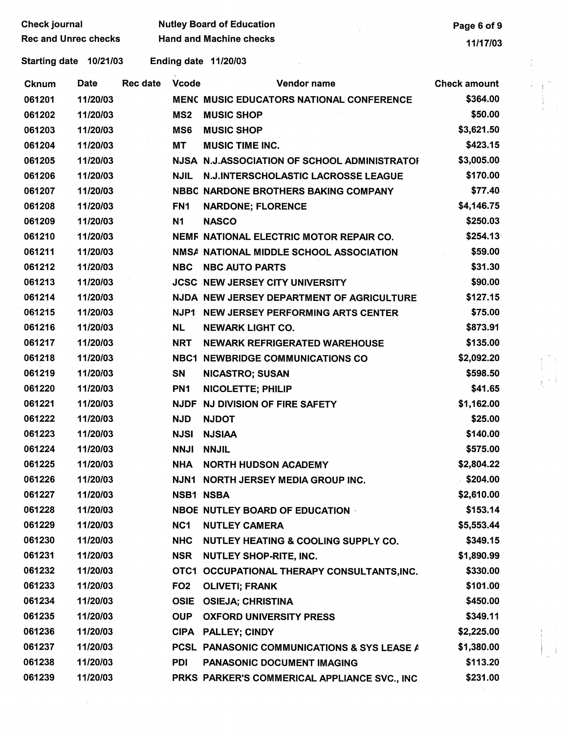| <b>Check journal</b> |                             |          |                 | <b>Nutley Board of Education</b>             | Page 6 of 9         |  |
|----------------------|-----------------------------|----------|-----------------|----------------------------------------------|---------------------|--|
|                      | <b>Rec and Unrec checks</b> |          |                 | <b>Hand and Machine checks</b>               | 11/17/03            |  |
|                      | Starting date 10/21/03      |          |                 | <b>Ending date 11/20/03</b>                  |                     |  |
| <b>Cknum</b>         | Date                        | Rec date | <b>Vcode</b>    | Vendor name                                  | <b>Check amount</b> |  |
| 061201               | 11/20/03                    |          |                 | MENC MUSIC EDUCATORS NATIONAL CONFERENCE     | \$364.00            |  |
| 061202               | 11/20/03                    |          | MS <sub>2</sub> | <b>MUSIC SHOP</b>                            | \$50.00             |  |
| 061203               | 11/20/03                    |          | MS <sub>6</sub> | <b>MUSIC SHOP</b>                            | \$3,621.50          |  |
| 061204               | 11/20/03                    |          | <b>MT</b>       | <b>MUSIC TIME INC.</b>                       | \$423.15            |  |
| 061205               | 11/20/03                    |          |                 | NJSA N.J.ASSOCIATION OF SCHOOL ADMINISTRATOR | \$3,005.00          |  |
| 061206               | 11/20/03                    |          | <b>NJIL</b>     | N.J.INTERSCHOLASTIC LACROSSE LEAGUE          | \$170.00            |  |
| 061207               | 11/20/03                    |          |                 | NBBC NARDONE BROTHERS BAKING COMPANY         | \$77.40             |  |
| 061208               | 11/20/03                    |          | FN <sub>1</sub> | <b>NARDONE; FLORENCE</b>                     | \$4,146.75          |  |
| 061209               | 11/20/03                    |          | <b>N1</b>       | <b>NASCO</b>                                 | \$250.03            |  |
| 061210               | 11/20/03                    |          |                 | NEMF NATIONAL ELECTRIC MOTOR REPAIR CO.      | \$254.13            |  |
| 061211               | 11/20/03                    |          |                 | NMSA NATIONAL MIDDLE SCHOOL ASSOCIATION      | \$59.00             |  |
| 061212               | 11/20/03                    |          | <b>NBC</b>      | <b>NBC AUTO PARTS</b>                        | \$31.30             |  |
| 061213               | 11/20/03                    |          |                 | <b>JCSC NEW JERSEY CITY UNIVERSITY</b>       | \$90.00             |  |
| 061214               | 11/20/03                    |          |                 | NJDA NEW JERSEY DEPARTMENT OF AGRICULTURE    | \$127.15            |  |
| 061215               | 11/20/03                    |          |                 | NJP1 NEW JERSEY PERFORMING ARTS CENTER       | \$75.00             |  |
| 061216               | 11/20/03                    |          | <b>NL</b>       | <b>NEWARK LIGHT CO.</b>                      | \$873.91            |  |
| 061217               | 11/20/03                    |          | <b>NRT</b>      | NEWARK REFRIGERATED WAREHOUSE                | \$135.00            |  |
| 061218               | 11/20/03                    |          |                 | <b>NBC1 NEWBRIDGE COMMUNICATIONS CO</b>      | \$2,092.20          |  |
| 061219               | 11/20/03                    |          | SN              | <b>NICASTRO; SUSAN</b>                       | \$598.50            |  |
| 061220               | 11/20/03                    |          | PN <sub>1</sub> | NICOLETTE; PHILIP                            | \$41.65             |  |
| 061221               | 11/20/03                    |          |                 | NJDF NJ DIVISION OF FIRE SAFETY              | \$1,162.00          |  |
| 061222               | 11/20/03                    |          | <b>NJD</b>      | <b>NJDOT</b>                                 | \$25.00             |  |
| 061223               | 11/20/03                    |          | NJSI            | <b>NJSIAA</b>                                | \$140.00            |  |
| 061224               | 11/20/03                    |          |                 | <b>NNJI NNJIL</b>                            | \$575.00            |  |
| 061225               | 11/20/03                    |          |                 | NHA NORTH HUDSON ACADEMY                     | \$2,804.22          |  |
| 061226               | 11/20/03                    |          |                 | NJN1 NORTH JERSEY MEDIA GROUP INC.           | \$204.00            |  |
| 061227               | 11/20/03                    |          |                 | <b>NSB1 NSBA</b>                             | \$2,610.00          |  |
| 061228               | 11/20/03                    |          |                 | NBOE NUTLEY BOARD OF EDUCATION               | \$153.14            |  |
| 061229               | 11/20/03                    |          | NC1             | <b>NUTLEY CAMERA</b>                         | \$5,553.44          |  |
| 061230               | 11/20/03                    |          | <b>NHC</b>      | NUTLEY HEATING & COOLING SUPPLY CO.          | \$349.15            |  |
| 061231               | 11/20/03                    |          |                 | NSR NUTLEY SHOP-RITE, INC.                   | \$1,890.99          |  |
| 061232               | 11/20/03                    |          |                 | OTC1 OCCUPATIONAL THERAPY CONSULTANTS, INC.  | \$330.00            |  |
| 061233               | 11/20/03                    |          | FO <sub>2</sub> | <b>OLIVETI; FRANK</b>                        | \$101.00            |  |
| 061234               | 11/20/03                    |          |                 | OSIE OSIEJA; CHRISTINA                       | \$450.00            |  |
| 061235               | 11/20/03                    |          | <b>OUP</b>      | <b>OXFORD UNIVERSITY PRESS</b>               | \$349.11            |  |
| 061236               | 11/20/03                    |          |                 | CIPA PALLEY; CINDY                           | \$2,225.00          |  |
| 061237               | 11/20/03                    |          |                 | PCSL PANASONIC COMMUNICATIONS & SYS LEASE A  | \$1,380.00          |  |
| 061238               | 11/20/03                    |          | <b>PDI</b>      | <b>PANASONIC DOCUMENT IMAGING</b>            | \$113.20            |  |
| 061239               | 11/20/03                    |          |                 | PRKS PARKER'S COMMERICAL APPLIANCE SVC., INC | \$231.00            |  |

 $\frac{1}{2} \frac{1}{2} \frac{1}{2} \frac{1}{2}$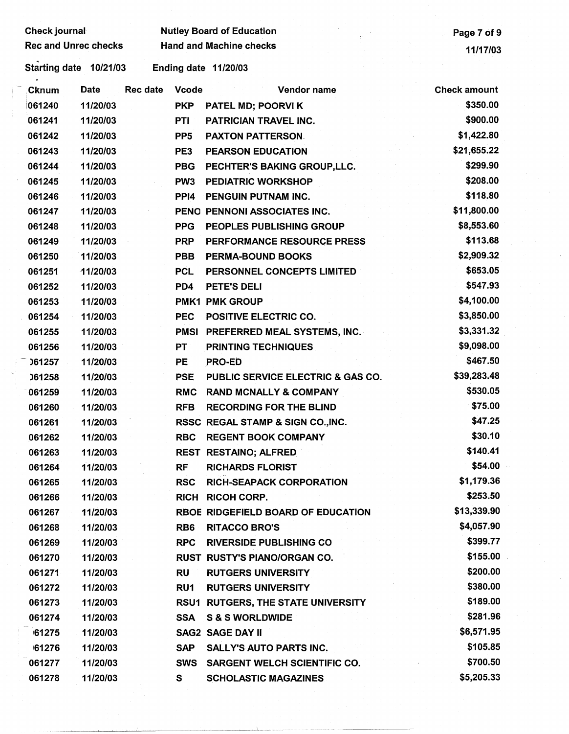| <b>Check journal</b>        |             |                 |                  | <b>Nutley Board of Education</b>          | Page 7 of 9         |
|-----------------------------|-------------|-----------------|------------------|-------------------------------------------|---------------------|
| <b>Rec and Unrec checks</b> |             |                 |                  | <b>Hand and Machine checks</b>            | 11/17/03            |
| Starting date 10/21/03      |             |                 |                  | Ending date 11/20/03                      |                     |
| Cknum                       | <b>Date</b> | <b>Rec date</b> | <b>Vcode</b>     | Vendor name                               | <b>Check amount</b> |
| 061240                      | 11/20/03    |                 | <b>PKP</b>       | PATEL MD; POORVI K                        | \$350.00            |
| 061241                      | 11/20/03    |                 | PTI              | PATRICIAN TRAVEL INC.                     | \$900.00            |
| 061242                      | 11/20/03    |                 | PP <sub>5</sub>  | <b>PAXTON PATTERSON.</b>                  | \$1,422.80          |
| 061243                      | 11/20/03    |                 | PE3              | <b>PEARSON EDUCATION</b>                  | \$21,655.22         |
| 061244                      | 11/20/03    |                 | <b>PBG</b>       | PECHTER'S BAKING GROUP, LLC.              | \$299.90            |
| 061245                      | 11/20/03    |                 | PW <sub>3</sub>  | <b>PEDIATRIC WORKSHOP</b>                 | \$208.00            |
| 061246                      | 11/20/03    |                 | PP <sub>14</sub> | PENGUIN PUTNAM INC.                       | \$118.80            |
| 061247                      | 11/20/03    |                 |                  | PENO PENNONI ASSOCIATES INC.              | \$11,800.00         |
| 061248                      | 11/20/03    |                 | <b>PPG</b>       | PEOPLES PUBLISHING GROUP                  | \$8,553.60          |
| 061249                      | 11/20/03    |                 | <b>PRP</b>       | PERFORMANCE RESOURCE PRESS                | \$113.68            |
| 061250                      | 11/20/03    |                 | <b>PBB</b>       | <b>PERMA-BOUND BOOKS</b>                  | \$2,909.32          |
| 061251                      | 11/20/03    |                 | <b>PCL</b>       | PERSONNEL CONCEPTS LIMITED                | \$653.05            |
| 061252                      | 11/20/03    |                 | PD4              | <b>PETE'S DELI</b>                        | \$547.93            |
| 061253                      | 11/20/03    |                 |                  | <b>PMK1 PMK GROUP</b>                     | \$4,100.00          |
| 061254                      | 11/20/03    |                 | <b>PEC</b>       | POSITIVE ELECTRIC CO.                     | \$3,850.00          |
| 061255                      | 11/20/03    |                 | <b>PMSI</b>      | <b>PREFERRED MEAL SYSTEMS, INC.</b>       | \$3,331.32          |
| 061256                      | 11/20/03    |                 | PT               | <b>PRINTING TECHNIQUES</b>                | \$9,098.00          |
| 061257                      | 11/20/03    |                 | PE               | <b>PRO-ED</b>                             | \$467.50            |
| 061258                      | 11/20/03    |                 | <b>PSE</b>       | PUBLIC SERVICE ELECTRIC & GAS CO.         | \$39,283.48         |
| 061259                      | 11/20/03    |                 | <b>RMC</b>       | <b>RAND MCNALLY &amp; COMPANY</b>         | \$530.05            |
| 061260                      | 11/20/03    |                 | <b>RFB</b>       | <b>RECORDING FOR THE BLIND</b>            | \$75.00             |
| 061261                      | 11/20/03    |                 |                  | RSSC REGAL STAMP & SIGN CO., INC.         | \$47.25             |
| 061262                      | 11/20/03    |                 | RBC.             | <b>REGENT BOOK COMPANY</b>                | \$30.10             |
| 061263                      | 11/20/03    |                 |                  | REST RESTAINO; ALFRED                     | \$140.41            |
| 061264                      | 11/20/03    |                 | <b>RF</b>        | <b>RICHARDS FLORIST</b>                   | \$54.00             |
| 061265                      | 11/20/03    |                 | <b>RSC</b>       | <b>RICH-SEAPACK CORPORATION</b>           | \$1,179.36          |
| 061266                      | 11/20/03    |                 |                  | RICH RICOH CORP.                          | \$253.50            |
| 061267                      | 11/20/03    |                 |                  | RBOE RIDGEFIELD BOARD OF EDUCATION        | \$13,339.90         |
| 061268                      | 11/20/03    |                 | RB <sub>6</sub>  | <b>RITACCO BRO'S</b>                      | \$4,057.90          |
| 061269                      | 11/20/03    |                 | <b>RPC</b>       | <b>RIVERSIDE PUBLISHING CO</b>            | \$399.77            |
| 061270                      | 11/20/03    |                 |                  | <b>RUST RUSTY'S PIANO/ORGAN CO.</b>       | \$155.00            |
| 061271                      | 11/20/03    |                 | RU               | <b>RUTGERS UNIVERSITY</b>                 | \$200.00            |
| 061272                      | 11/20/03    |                 | RU1              | <b>RUTGERS UNIVERSITY</b>                 | \$380.00            |
| 061273                      | 11/20/03    |                 |                  | <b>RSU1 RUTGERS, THE STATE UNIVERSITY</b> | \$189.00            |
| 061274                      | 11/20/03    |                 | <b>SSA</b>       | <b>S &amp; S WORLDWIDE</b>                | \$281.96            |
| 61275                       | 11/20/03    |                 |                  | <b>SAG2 SAGE DAY II</b>                   | \$6,571.95          |
| 61276                       | 11/20/03    |                 | <b>SAP</b>       | <b>SALLY'S AUTO PARTS INC.</b>            | \$105.85            |
| 061277                      | 11/20/03    |                 | <b>SWS</b>       | <b>SARGENT WELCH SCIENTIFIC CO.</b>       | \$700.50            |
| 061278                      | 11/20/03    |                 | S.               | <b>SCHOLASTIC MAGAZINES</b>               | \$5,205.33          |
|                             |             |                 |                  |                                           |                     |
|                             |             |                 |                  |                                           |                     |
|                             |             |                 |                  |                                           |                     |

 $\int_0^\infty$ 

 $\hat{A}^{(1)}$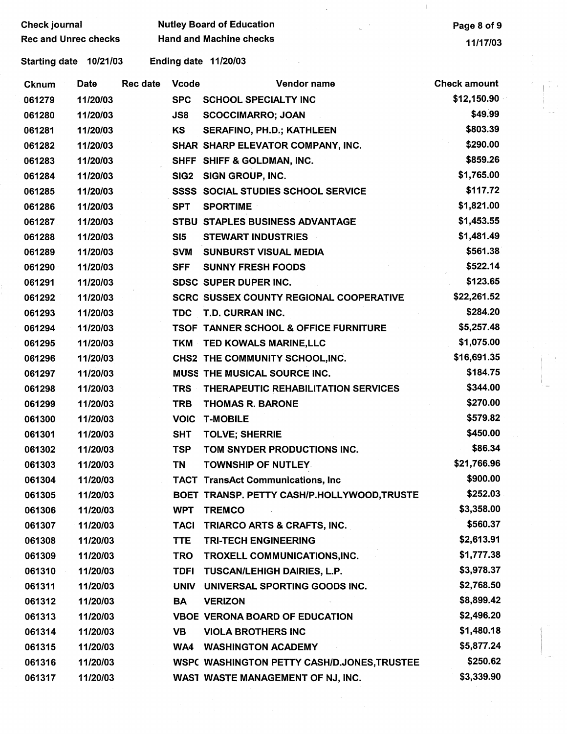| Check journal               |             |                 |                  | <b>Nutley Board of Education</b>                 | Page 8 of 9         |  |
|-----------------------------|-------------|-----------------|------------------|--------------------------------------------------|---------------------|--|
| <b>Rec and Unrec checks</b> |             |                 |                  | <b>Hand and Machine checks</b>                   | 11/17/03            |  |
| Starting date 10/21/03      |             |                 |                  | Ending date 11/20/03                             |                     |  |
| <b>Cknum</b>                | <b>Date</b> | <b>Rec date</b> | <b>Vcode</b>     | Vendor name                                      | <b>Check amount</b> |  |
| 061279                      | 11/20/03    |                 | <b>SPC</b>       | <b>SCHOOL SPECIALTY INC</b>                      | \$12,150.90         |  |
| 061280                      | 11/20/03    |                 | JS8              | <b>SCOCCIMARRO; JOAN</b>                         | \$49.99             |  |
| 061281                      | 11/20/03    |                 | KS               | <b>SERAFINO, PH.D.; KATHLEEN</b>                 | \$803.39            |  |
| 061282                      | 11/20/03    |                 |                  | SHAR SHARP ELEVATOR COMPANY, INC.                | \$290.00            |  |
| 061283                      | 11/20/03    |                 |                  | SHFF SHIFF & GOLDMAN, INC.                       | \$859.26            |  |
| 061284                      | 11/20/03    |                 | SIG <sub>2</sub> | SIGN GROUP, INC.                                 | \$1,765.00          |  |
| 061285                      | 11/20/03    |                 |                  | <b>SSSS SOCIAL STUDIES SCHOOL SERVICE</b>        | \$117.72            |  |
| 061286                      | 11/20/03    |                 | <b>SPT</b>       | <b>SPORTIME</b>                                  | \$1,821.00          |  |
| 061287                      | 11/20/03    |                 |                  | STBU STAPLES BUSINESS ADVANTAGE                  | \$1,453.55          |  |
| 061288                      | 11/20/03    |                 | SI5              | <b>STEWART INDUSTRIES</b>                        | \$1,481.49          |  |
| 061289                      | 11/20/03    |                 | <b>SVM</b>       | <b>SUNBURST VISUAL MEDIA</b>                     | \$561.38            |  |
| 061290                      | 11/20/03    |                 | <b>SFF</b>       | <b>SUNNY FRESH FOODS</b>                         | \$522.14            |  |
| 061291                      | 11/20/03    |                 |                  | <b>SDSC SUPER DUPER INC.</b>                     | \$123.65            |  |
| 061292                      | 11/20/03    |                 |                  | <b>SCRC SUSSEX COUNTY REGIONAL COOPERATIVE</b>   | \$22,261.52         |  |
| 061293                      | 11/20/03    |                 | <b>TDC</b>       | T.D. CURRAN INC.                                 | \$284.20            |  |
| 061294                      | 11/20/03    |                 |                  | <b>TSOF TANNER SCHOOL &amp; OFFICE FURNITURE</b> | \$5,257.48          |  |
| 061295                      | 11/20/03    |                 | <b>TKM</b>       | TED KOWALS MARINE, LLC                           | \$1,075.00          |  |
| 061296                      | 11/20/03    |                 |                  | CHS2 THE COMMUNITY SCHOOL, INC.                  | \$16,691.35         |  |
| 061297                      | 11/20/03    |                 |                  | MUSS THE MUSICAL SOURCE INC.                     | \$184.75            |  |
| 061298                      | 11/20/03    |                 | <b>TRS</b>       | THERAPEUTIC REHABILITATION SERVICES              | \$344.00            |  |
| 061299                      | 11/20/03    |                 | <b>TRB</b>       | <b>THOMAS R. BARONE</b>                          | \$270.00            |  |
| 061300                      | 11/20/03    |                 | <b>VOIC</b>      | <b>T-MOBILE</b>                                  | \$579.82            |  |
| 061301                      | 11/20/03    |                 | <b>SHT</b>       | <b>TOLVE; SHERRIE</b>                            | \$450.00            |  |
| 061302                      | 11/20/03    |                 | <b>TSP</b>       | TOM SNYDER PRODUCTIONS INC.                      | \$86.34             |  |
| 061303                      | 11/20/03    |                 | TN               | <b>TOWNSHIP OF NUTLEY</b>                        | \$21,766.96         |  |
| 061304                      | 11/20/03    |                 |                  | <b>TACT TransAct Communications, Inc</b>         | \$900.00            |  |
| 061305                      | 11/20/03    |                 |                  | BOET TRANSP. PETTY CASH/P.HOLLYWOOD,TRUSTE       | \$252.03            |  |
| 061306                      | 11/20/03    |                 | <b>WPT</b>       | <b>TREMCO</b>                                    | \$3,358.00          |  |
| 061307                      | 11/20/03    |                 | <b>TACI</b>      | TRIARCO ARTS & CRAFTS, INC.                      | \$560.37            |  |
| 061308                      | 11/20/03    |                 | <b>TTE</b>       | <b>TRI-TECH ENGINEERING</b>                      | \$2,613.91          |  |
| 061309                      | 11/20/03    |                 | <b>TRO</b>       | TROXELL COMMUNICATIONS, INC.                     | \$1,777.38          |  |
| 061310                      | 11/20/03    |                 | <b>TDFI</b>      | <b>TUSCAN/LEHIGH DAIRIES, L.P.</b>               | \$3,978.37          |  |
| 061311                      | 11/20/03    |                 | <b>UNIV</b>      | UNIVERSAL SPORTING GOODS INC.                    | \$2,768.50          |  |
| 061312                      | 11/20/03    |                 | BA               | <b>VERIZON</b>                                   | \$8,899.42          |  |
| 061313                      | 11/20/03    |                 |                  | <b>VBOE VERONA BOARD OF EDUCATION</b>            | \$2,496.20          |  |
| 061314                      | 11/20/03    |                 | <b>VB</b>        | <b>VIOLA BROTHERS INC</b>                        | \$1,480.18          |  |
| 061315                      | 11/20/03    |                 |                  | WA4 WASHINGTON ACADEMY                           | \$5,877.24          |  |
| 061316                      | 11/20/03    |                 |                  | WSPC WASHINGTON PETTY CASH/D.JONES, TRUSTEE      | \$250.62            |  |
| 061317                      | 11/20/03    |                 |                  | WAST WASTE MANAGEMENT OF NJ, INC.                | \$3,339.90          |  |